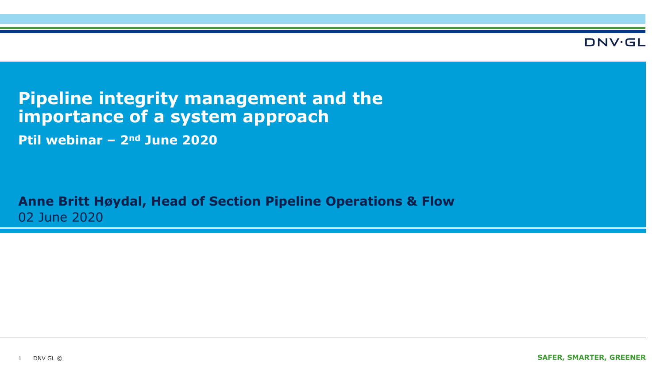**DNV·GL** 

### **Pipeline integrity management and the importance of a system approach**

**Ptil webinar – 2nd June 2020**

**Anne Britt Høydal, Head of Section Pipeline Operations & Flow** 02 June 2020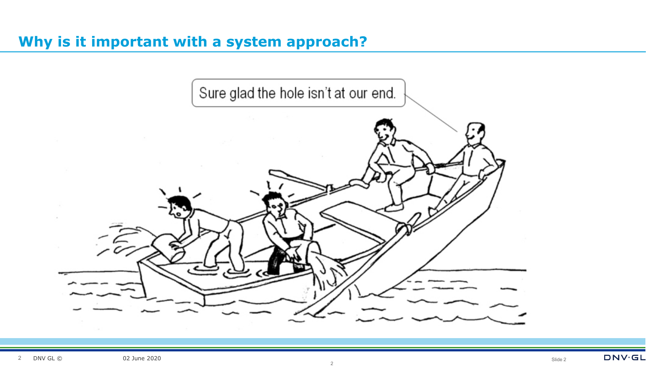#### **Why is it important with a system approach?**

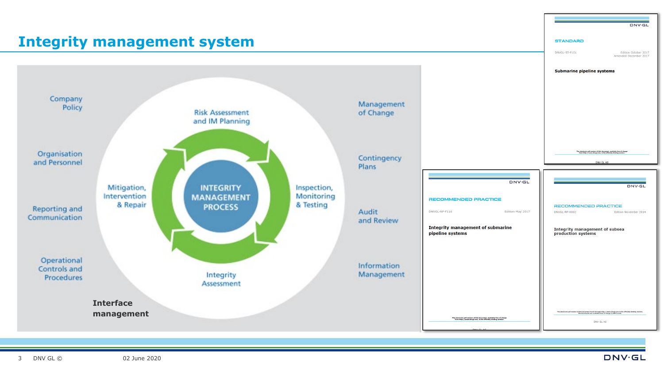# **Integrity management system**

**Risk Assessment** 

and IM Planning

**DNV.GL** 

#### **STANDARD**

DNVGL-ST-F101 Edition October 2017<br>Amended December 2017

#### Submarine pipeline systems



**RECOMMENDED PRACTICE** 

Integrity management of subsea

DNVGL-RP-0002

production systems

DNV GL AS

of this decument found through http://www.dnvgl.com is the officially binding version<br>The documents are available free of charge in PDF format.



Management

of Change

3

Company

Organisation

and Personnel

**Reporting and** 

Communication

Operational

Controls and

Procedures

Policy

Edition November 2014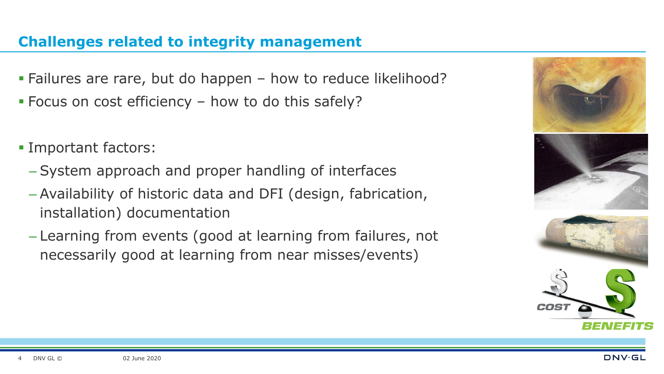#### **Challenges related to integrity management**

- Failures are rare, but do happen how to reduce likelihood?
- Focus on cost efficiency how to do this safely?
- Important factors:
	- System approach and proper handling of interfaces
	- Availability of historic data and DFI (design, fabrication, installation) documentation
	- Learning from events (good at learning from failures, not necessarily good at learning from near misses/events)



4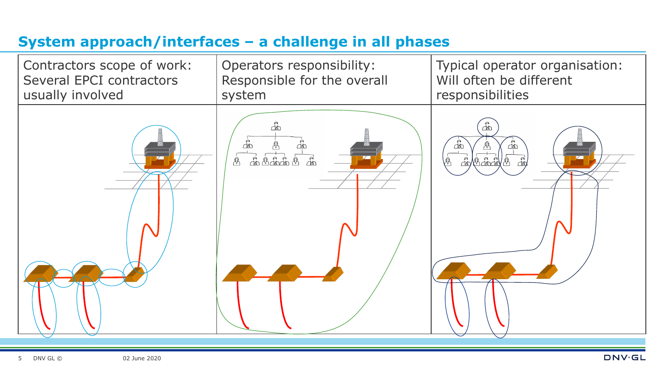## **System approach/interfaces – a challenge in all phases**

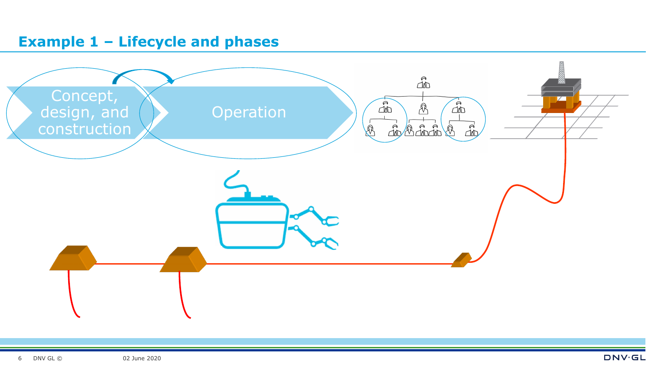#### **Example 1 – Lifecycle and phases**

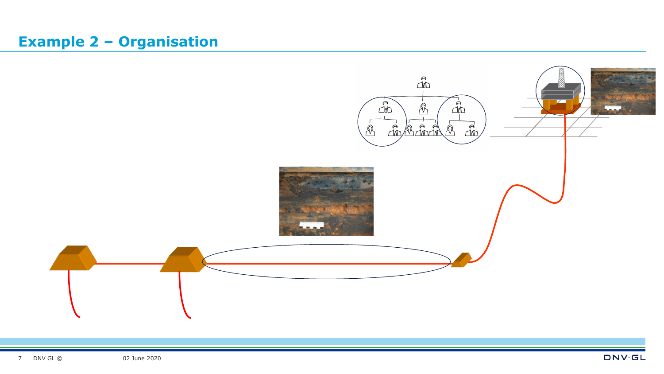### **Example 2 – Organisation**

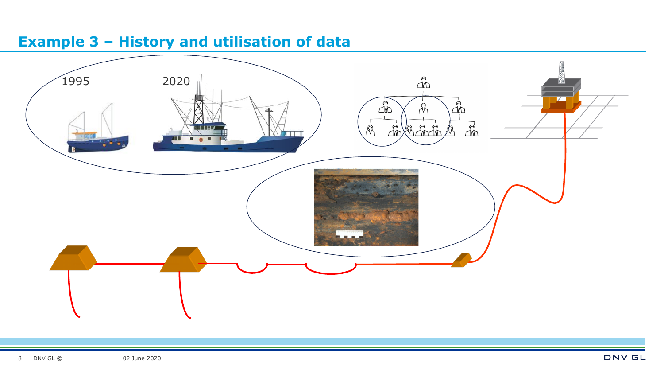### **Example 3 – History and utilisation of data**

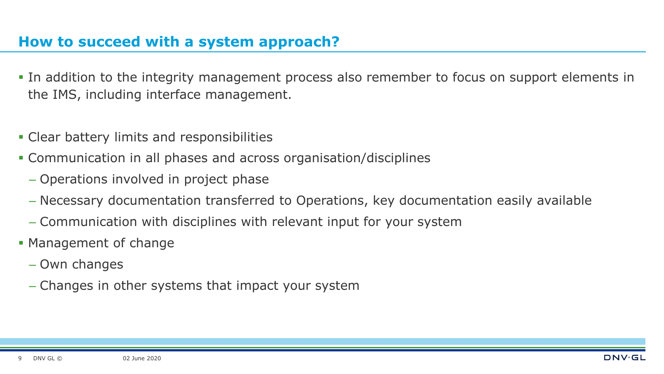#### **How to succeed with a system approach?**

- In addition to the integrity management process also remember to focus on support elements in the IMS, including interface management.
- Clear battery limits and responsibilities
- Communication in all phases and across organisation/disciplines
	- Operations involved in project phase
	- Necessary documentation transferred to Operations, key documentation easily available
	- Communication with disciplines with relevant input for your system
- Management of change
	- Own changes
	- Changes in other systems that impact your system